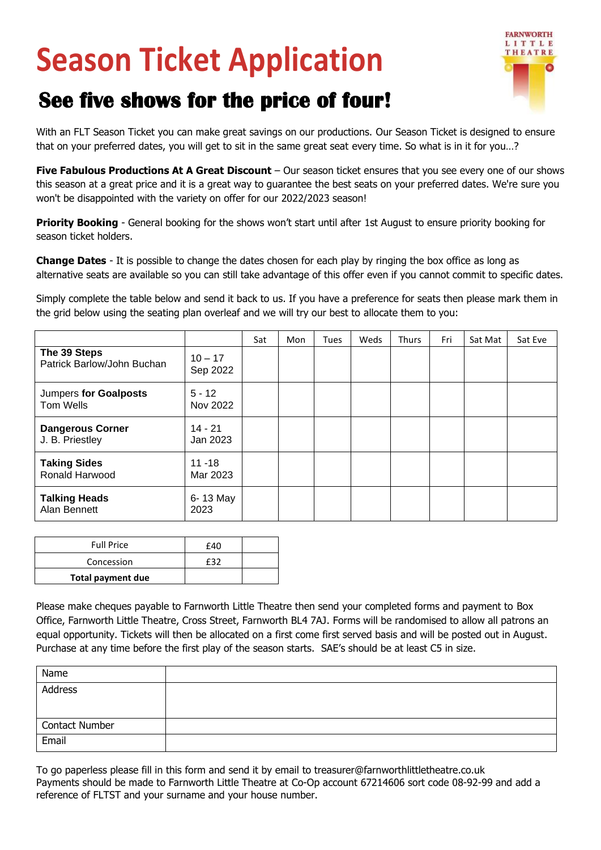## **Season Ticket Application**



## **See five shows for the price of four!**

With an FLT Season Ticket you can make great savings on our productions. Our Season Ticket is designed to ensure that on your preferred dates, you will get to sit in the same great seat every time. So what is in it for you…?

**Five Fabulous Productions At A Great Discount** – Our season ticket ensures that you see every one of our shows this season at a great price and it is a great way to guarantee the best seats on your preferred dates. We're sure you won't be disappointed with the variety on offer for our 2022/2023 season!

**Priority Booking** - General booking for the shows won't start until after 1st August to ensure priority booking for season ticket holders.

**Change Dates** - It is possible to change the dates chosen for each play by ringing the box office as long as alternative seats are available so you can still take advantage of this offer even if you cannot commit to specific dates.

Simply complete the table below and send it back to us. If you have a preference for seats then please mark them in the grid below using the seating plan overleaf and we will try our best to allocate them to you:

|                                              |                       | Sat | Mon | <b>Tues</b> | Weds | <b>Thurs</b> | Fri | Sat Mat | Sat Eve |
|----------------------------------------------|-----------------------|-----|-----|-------------|------|--------------|-----|---------|---------|
| The 39 Steps<br>Patrick Barlow/John Buchan   | $10 - 17$<br>Sep 2022 |     |     |             |      |              |     |         |         |
| Jumpers for Goalposts<br>Tom Wells           | $5 - 12$<br>Nov 2022  |     |     |             |      |              |     |         |         |
| <b>Dangerous Corner</b><br>J. B. Priestley   | $14 - 21$<br>Jan 2023 |     |     |             |      |              |     |         |         |
| <b>Taking Sides</b><br><b>Ronald Harwood</b> | 11 -18<br>Mar 2023    |     |     |             |      |              |     |         |         |
| <b>Talking Heads</b><br>Alan Bennett         | 6-13 May<br>2023      |     |     |             |      |              |     |         |         |

| <b>Full Price</b> | f40 |  |
|-------------------|-----|--|
| Concession        |     |  |
| Total payment due |     |  |

Please make cheques payable to Farnworth Little Theatre then send your completed forms and payment to Box Office, Farnworth Little Theatre, Cross Street, Farnworth BL4 7AJ. Forms will be randomised to allow all patrons an equal opportunity. Tickets will then be allocated on a first come first served basis and will be posted out in August. Purchase at any time before the first play of the season starts. SAE's should be at least C5 in size.

| Name                  |  |
|-----------------------|--|
| Address               |  |
| <b>Contact Number</b> |  |
| Email                 |  |

To go paperless please fill in this form and send it by email to treasurer@farnworthlittletheatre.co.uk Payments should be made to Farnworth Little Theatre at Co-Op account 67214606 sort code 08-92-99 and add a reference of FLTST and your surname and your house number.